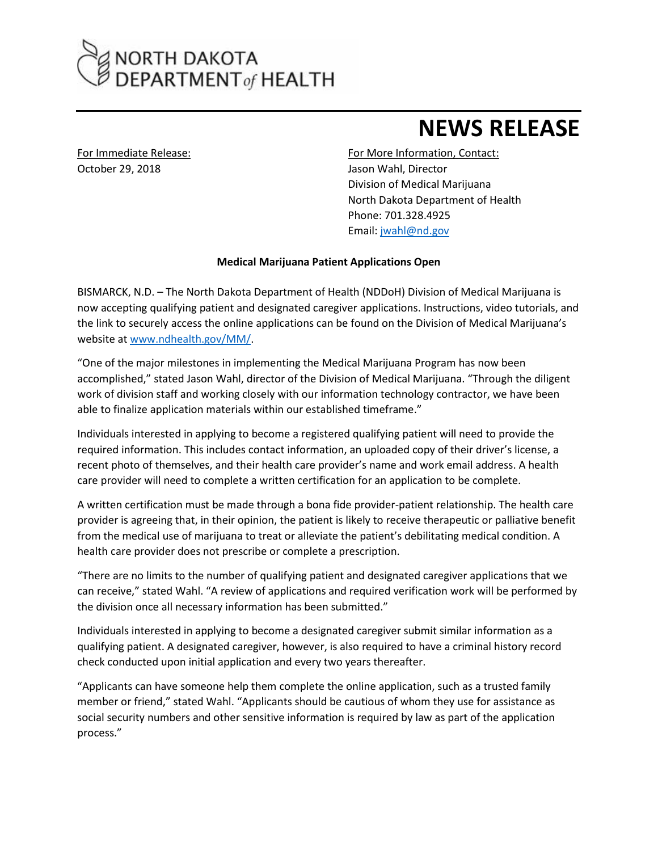## NORTH DAKOTA<br>DEPARTMENT of HEALTH

## **NEWS RELEASE**

October 29, 2018 **Jason Wahl, Director** 

For Immediate Release: For More Information, Contact: Division of Medical Marijuana North Dakota Department of Health Phone: 701.328.4925 Email: [jwahl@nd.gov](mailto:jwahl@nd.gov)

## **Medical Marijuana Patient Applications Open**

BISMARCK, N.D. – The North Dakota Department of Health (NDDoH) Division of Medical Marijuana is now accepting qualifying patient and designated caregiver applications. Instructions, video tutorials, and the link to securely access the online applications can be found on the Division of Medical Marijuana's website at [www.ndhealth.gov/MM/](http://www.ndhealth.gov/MM).

"One of the major milestones in implementing the Medical Marijuana Program has now been accomplished," stated Jason Wahl, director of the Division of Medical Marijuana. "Through the diligent work of division staff and working closely with our information technology contractor, we have been able to finalize application materials within our established timeframe."

Individuals interested in applying to become a registered qualifying patient will need to provide the required information. This includes contact information, an uploaded copy of their driver's license, a recent photo of themselves, and their health care provider's name and work email address. A health care provider will need to complete a written certification for an application to be complete.

A written certification must be made through a bona fide provider-patient relationship. The health care provider is agreeing that, in their opinion, the patient is likely to receive therapeutic or palliative benefit from the medical use of marijuana to treat or alleviate the patient's debilitating medical condition. A health care provider does not prescribe or complete a prescription.

"There are no limits to the number of qualifying patient and designated caregiver applications that we can receive," stated Wahl. "A review of applications and required verification work will be performed by the division once all necessary information has been submitted."

Individuals interested in applying to become a designated caregiver submit similar information as a qualifying patient. A designated caregiver, however, is also required to have a criminal history record check conducted upon initial application and every two years thereafter.

"Applicants can have someone help them complete the online application, such as a trusted family member or friend," stated Wahl. "Applicants should be cautious of whom they use for assistance as social security numbers and other sensitive information is required by law as part of the application process."